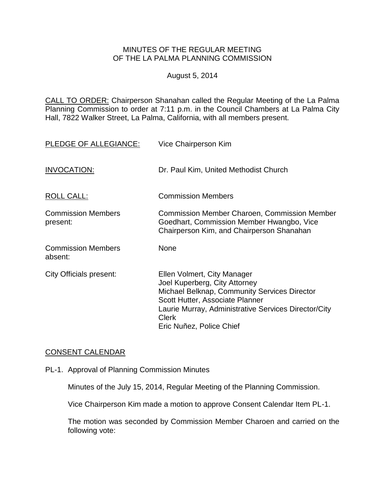## MINUTES OF THE REGULAR MEETING OF THE LA PALMA PLANNING COMMISSION

## August 5, 2014

CALL TO ORDER: Chairperson [Shanahan called the Regular Meeting of the La Palma](http://lapalma.granicus.com/MediaPlayer.php?view_id=&clip_id=845&meta_id=111906)  Planning Commission to order at 7:11 [p.m. in the Council Chambers at La Palma City](http://lapalma.granicus.com/MediaPlayer.php?view_id=&clip_id=845&meta_id=111906)  [Hall, 7822 Walker Street, La Palma, California, with all members present.](http://lapalma.granicus.com/MediaPlayer.php?view_id=&clip_id=845&meta_id=111906)

| PLEDGE OF ALLEGIANCE:                 | Vice Chairperson Kim                                                                                                                                                                                                                                |
|---------------------------------------|-----------------------------------------------------------------------------------------------------------------------------------------------------------------------------------------------------------------------------------------------------|
| INVOCATION:                           | Dr. Paul Kim, United Methodist Church                                                                                                                                                                                                               |
| <b>ROLL CALL:</b>                     | <b>Commission Members</b>                                                                                                                                                                                                                           |
| <b>Commission Members</b><br>present: | <b>Commission Member Charoen, Commission Member</b><br>Goedhart, Commission Member Hwangbo, Vice<br>Chairperson Kim, and Chairperson Shanahan                                                                                                       |
| <b>Commission Members</b><br>absent:  | None                                                                                                                                                                                                                                                |
| <b>City Officials present:</b>        | Ellen Volmert, City Manager<br>Joel Kuperberg, City Attorney<br>Michael Belknap, Community Services Director<br>Scott Hutter, Associate Planner<br>Laurie Murray, Administrative Services Director/City<br><b>Clerk</b><br>Eric Nuñez, Police Chief |

# [CONSENT CALENDAR](http://lapalma.granicus.com/MediaPlayer.php?view_id=&clip_id=845&meta_id=111922)

PL-1. Approval of Planning Commission Minutes

Minutes of the July 15, 2014, Regular Meeting of the Planning Commission.

Vice Chairperson Kim made a motion to approve Consent Calendar Item PL-1.

The motion was seconded by Commission Member Charoen and carried on the following vote: